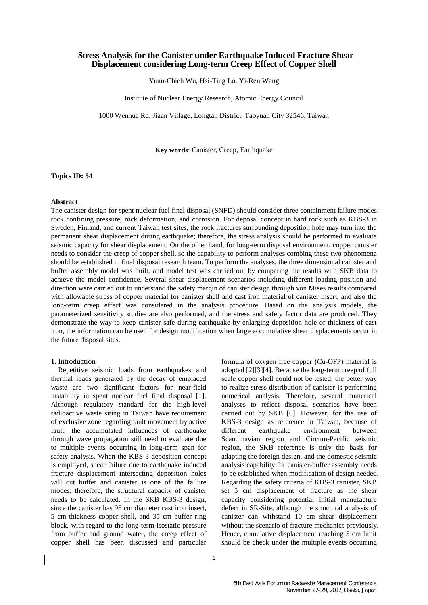# **Stress Analysis for the Canister under Earthquake Induced Fracture Shear Displacement considering Long-term Creep Effect of Copper Shell**

Yuan-Chieh Wu, Hsi-Ting Lo, Yi-Ren Wang

Institute of Nuclear Energy Research, Atomic Energy Council

1000 Wenhua Rd. Jiaan Village, Longtan District, Taoyuan City 32546, Taiwan

**Key words**: Canister, Creep, Earthquake

**Topics ID: 54**

## **Abstract**

The canister design for spent nuclear fuel final disposal (SNFD) should consider three containment failure modes: rock confining pressure, rock deformation, and corrosion. For deposal concept in hard rock such as KBS-3 in Sweden, Finland, and current Taiwan test sites, the rock fractures surrounding deposition hole may turn into the permanent shear displacement during earthquake; therefore, the stress analysis should be performed to evaluate seismic capacity for shear displacement. On the other hand, for long-term disposal environment, copper canister needs to consider the creep of copper shell, so the capability to perform analyses combing these two phenomena should be established in final disposal research team. To perform the analyses, the three dimensional canister and buffer assembly model was built, and model test was carried out by comparing the results with SKB data to achieve the model confidence. Several shear displacement scenarios including different loading position and direction were carried out to understand the safety margin of canister design through von Mises results compared with allowable stress of copper material for canister shell and cast iron material of canister insert, and also the long-term creep effect was considered in the analysis procedure. Based on the analysis models, the parameterized sensitivity studies are also performed, and the stress and safety factor data are produced. They demonstrate the way to keep canister safe during earthquake by enlarging deposition hole or thickness of cast iron, the information can be used for design modification when large accumulative shear displacements occur in the future disposal sites.

## **1.** Introduction

Repetitive seismic loads from earthquakes and thermal loads generated by the decay of emplaced waste are two significant factors for near-field instability in spent nuclear fuel final disposal [1]. Although regulatory standard for the high-level radioactive waste siting in Taiwan have requirement of exclusive zone regarding fault movement by active fault, the accumulated influences of earthquake through wave propagation still need to evaluate due to multiple events occurring in long-term span for safety analysis. When the KBS-3 deposition concept is employed, shear failure due to earthquake induced fracture displacement intersecting deposition holes will cut buffer and canister is one of the failure modes; therefore, the structural capacity of canister needs to be calculated. In the SKB KBS-3 design, since the canister has 95 cm diameter cast iron insert, 5 cm thickness copper shell, and 35 cm buffer ring block, with regard to the long-term isostatic pressure from buffer and ground water, the creep effect of copper shell has been discussed and particular

adopted [2][3][4]. Because the long-term creep of full scale copper shell could not be tested, the better way to realize stress distribution of canister is performing numerical analysis. Therefore, several numerical analyses to reflect disposal scenarios have been carried out by SKB [6]. However, for the use of KBS-3 design as reference in Taiwan, because of different earthquake environment between Scandinavian region and Circum-Pacific seismic region, the SKB reference is only the basis for adapting the foreign design, and the domestic seismic analysis capability for canister-buffer assembly needs to be established when modification of design needed. Regarding the safety criteria of KBS-3 canister, SKB set 5 cm displacement of fracture as the shear capacity considering potential initial manufacture defect in SR-Site, although the structural analysis of canister can withstand 10 cm shear displacement without the scenario of fracture mechanics previously. Hence, cumulative displacement reaching 5 cm limit should be check under the multiple events occurring

formula of oxygen free copper (Cu-OFP) material is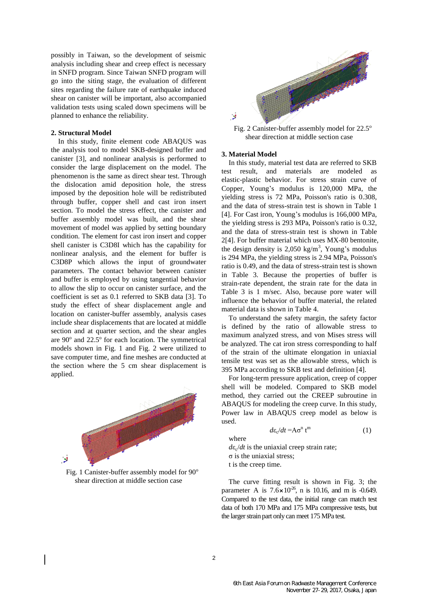possibly in Taiwan, so the development of seismic analysis including shear and creep effect is necessary in SNFD program. Since Taiwan SNFD program will go into the siting stage, the evaluation of different sites regarding the failure rate of earthquake induced shear on canister will be important, also accompanied validation tests using scaled down specimens will be planned to enhance the reliability.

#### **2. Structural Model**

In this study, finite element code ABAQUS was the analysis tool to model SKB-designed buffer and canister [3], and nonlinear analysis is performed to consider the large displacement on the model. The phenomenon is the same as direct shear test. Through the dislocation amid deposition hole, the stress imposed by the deposition hole will be redistributed through buffer, copper shell and cast iron insert section. To model the stress effect, the canister and buffer assembly model was built, and the shear movement of model was applied by setting boundary condition. The element for cast iron insert and copper shell canister is C3D8I which has the capability for nonlinear analysis, and the element for buffer is C3D8P which allows the input of groundwater parameters. The contact behavior between canister and buffer is employed by using tangential behavior to allow the slip to occur on canister surface, and the coefficient is set as 0.1 referred to SKB data [3]. To study the effect of shear displacement angle and location on canister-buffer assembly, analysis cases include shear displacements that are located at middle section and at quarter section, and the shear angles are 90° and 22.5° for each location. The symmetrical models shown in Fig. 1 and Fig. 2 were utilized to save computer time, and fine meshes are conducted at the section where the 5 cm shear displacement is applied.



Fig. 1 Canister-buffer assembly model for  $90^\circ$ shear direction at middle section case



Fig. 2 Canister-buffer assembly model for 22.5° shear direction at middle section case

### **3. Material Model**

In this study, material test data are referred to SKB test result, and materials are modeled as elastic-plastic behavior. For stress strain curve of Copper, Young's modulus is 120,000 MPa, the yielding stress is 72 MPa, Poisson's ratio is 0.308, and the data of stress-strain test is shown in Table 1 [4]. For Cast iron, Young's modulus is 166,000 MPa, the yielding stress is 293 MPa, Poisson's ratio is 0.32, and the data of stress-strain test is shown in Table 2[4]. For buffer material which uses MX-80 bentonite, the design density is  $2,050 \text{ kg/m}^3$ , Young's modulus is 294 MPa, the yielding stress is 2.94 MPa, Poisson's ratio is 0.49, and the data of stress-strain test is shown in Table 3. Because the properties of buffer is strain-rate dependent, the strain rate for the data in Table 3 is 1 m/sec. Also, because pore water will influence the behavior of buffer material, the related material data is shown in Table 4.

To understand the safety margin, the safety factor is defined by the ratio of allowable stress to maximum analyzed stress, and von Mises stress will be analyzed. The cat iron stress corresponding to half of the strain of the ultimate elongation in uniaxial tensile test was set as the allowable stress, which is 395 MPa according to SKB test and definition [4].

For long-term pressure application, creep of copper shell will be modeled. Compared to SKB model method, they carried out the CREEP subroutine in ABAQUS for modeling the creep curve. In this study, Power law in ABAQUS creep model as below is used.

(1)

$$
d\varepsilon_c/dt = A\sigma^n t^m
$$
 where

 $d\varepsilon_c/dt$  is the uniaxial creep strain rate; σ is the uniaxial stress; t is the creep time.

The curve fitting result is shown in Fig. 3; the

parameter A is  $7.6 \times 10^{-26}$ , n is 10.16, and m is -0.649. Compared to the test data, the initial range can match test data of both 170 MPa and 175 MPa compressive tests, but the larger strain part only can meet 175 MPa test.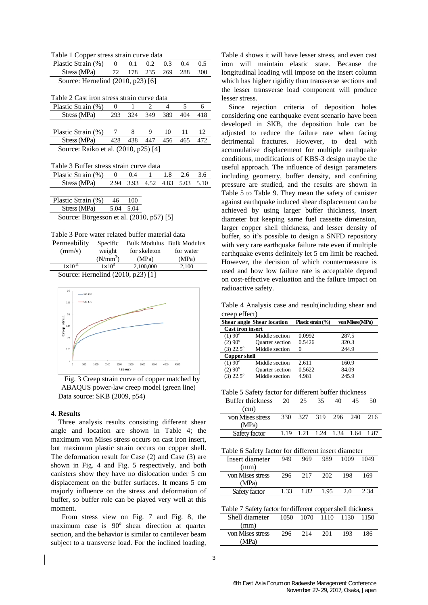Table 1 Copper stress strain curve data

| Plastic Strain $(\%)$ 0             |  | $0.1 \quad 0.2$ | 0.3 | 0.4 | 0.5 |
|-------------------------------------|--|-----------------|-----|-----|-----|
| Stress (MPa) 72 178 235 269 288 300 |  |                 |     |     |     |
| Source: Hernelind (2010, p23) [6]   |  |                 |     |     |     |

Table 2 Cast iron stress strain curve data

| Plastic Strain (%)                   |     |     |     |     |     |     |  |  |
|--------------------------------------|-----|-----|-----|-----|-----|-----|--|--|
| Stress (MPa)                         | 293 | 324 | 349 | 389 | 404 | 418 |  |  |
|                                      |     |     |     |     |     |     |  |  |
| Plastic Strain (%)                   |     |     |     | 10  |     |     |  |  |
| Stress (MPa)                         | 428 | 438 | 447 | 456 | 465 |     |  |  |
| Source: Raiko et al. (2010, p25) [4] |     |     |     |     |     |     |  |  |

Table 3 Buffer stress strain curve data

| Plastic Strain (%) 0 0.4 1 1.8 2.6 3.6 |  |                               |  |  |
|----------------------------------------|--|-------------------------------|--|--|
| Stress (MPa)                           |  | 2.94 3.93 4.52 4.83 5.03 5.10 |  |  |

| Plastic Strain (%)                       | 46        | 100 |  |
|------------------------------------------|-----------|-----|--|
| Stress (MPa)                             | 5.04 5.04 |     |  |
| Source: Börgesson et al. (2010, p57) [5] |           |     |  |

| Table 3 Pore water related buffer material data |  |
|-------------------------------------------------|--|
|-------------------------------------------------|--|

| Permeability        | Specific                    | <b>Bulk Modulus Bulk Modulus</b> |           |
|---------------------|-----------------------------|----------------------------------|-----------|
| (mm/s)              | weight                      | for skeleton                     | for water |
|                     | $(N/mm^3)$                  | (MPa)                            | (MPa)     |
| $1 \times 10^{-13}$ | $1 \times 10^5$             | 2.100.000                        | 2.100     |
| $\sim$              | $\sim$ $\sim$ $\sim$ $\sim$ | ------                           |           |

Source: Hernelind (2010, p23) [1]



Fig. 3 Creep strain curve of copper matched by ABAQUS power-law creep model (green line) Data source: SKB (2009, p54)

## **4. Results**

Three analysis results consisting different shear angle and location are shown in Table 4; the maximum von Mises stress occurs on cast iron insert, but maximum plastic strain occurs on copper shell. The deformation result for Case (2) and Case (3) are shown in Fig. 4 and Fig. 5 respectively, and both canisters show they have no dislocation under 5 cm displacement on the buffer surfaces. It means 5 cm majorly influence on the stress and deformation of buffer, so buffer role can be played very well at this moment.

 From stress view on Fig. 7 and Fig. 8, the maximum case is 90° shear direction at quarter section, and the behavior is similar to cantilever beam subject to a transverse load. For the inclined loading,

Table 4 shows it will have lesser stress, and even cast iron will maintain elastic state. Because the longitudinal loading will impose on the insert column which has higher rigidity than transverse sections and the lesser transverse load component will produce lesser stress.

Since rejection criteria of deposition holes considering one earthquake event scenario have been developed in SKB, the deposition hole can be adjusted to reduce the failure rate when facing detrimental fractures. However, to deal with accumulative displacement for multiple earthquake conditions, modifications of KBS-3 design maybe the useful approach. The influence of design parameters including geometry, buffer density, and confining pressure are studied, and the results are shown in Table 5 to Table 9. They mean the safety of canister against earthquake induced shear displacement can be achieved by using larger buffer thickness, insert diameter but keeping same fuel cassette dimension, larger copper shell thickness, and lesser density of buffer, so it's possible to design a SNFD repository with very rare earthquake failure rate even if multiple earthquake events definitely let 5 cm limit be reached. However, the decision of which countermeasure is used and how low failure rate is acceptable depend on cost-effective evaluation and the failure impact on radioactive safety.

Table 4 Analysis case and result(including shear and creep effect)

|                         | <b>Shear angle Shear location</b> | Plastic strain $\frac{9}{6}$ | von Mises (MPa) |
|-------------------------|-----------------------------------|------------------------------|-----------------|
| <b>Cast iron insert</b> |                                   |                              |                 |
| $(1) 90^{\circ}$        | Middle section                    | 0.0992                       | 287.5           |
| $(2) 90^{\circ}$        | <b>Quarter section</b>            | 0.5426                       | 320.3           |
| $(3)$ 22.5 $^{\circ}$   | Middle section                    |                              | 244.9           |
| <b>Copper shell</b>     |                                   |                              |                 |
| $(1) 90^{\circ}$        | Middle section                    | 2.611                        | 160.9           |
| $(2) 90^{\circ}$        | <b>Quarter section</b>            | 0.5622                       | 84.09           |
| $(3)$ 22.5 $^{\circ}$   | Middle section                    | 4.981                        | 245.9           |

Table 5 Safety factor for different buffer thickness

| <b>Buffer thickness</b> | 20  | 25 | 35                            | 40 | 45 | 50  |
|-------------------------|-----|----|-------------------------------|----|----|-----|
| (cm)                    |     |    |                               |    |    |     |
| von Mises stress        | 330 |    | 327 319 296 240               |    |    | 216 |
| (MPa)                   |     |    |                               |    |    |     |
| Safety factor           |     |    | 1.19 1.21 1.24 1.34 1.64 1.87 |    |    |     |

| Table 6 Safety factor for different insert diameter        |      |      |      |      |      |  |  |
|------------------------------------------------------------|------|------|------|------|------|--|--|
| Insert diameter                                            | 949  | 969  | 989  | 1009 | 1049 |  |  |
| (mm)                                                       |      |      |      |      |      |  |  |
| von Mises stress                                           | 296  | 217  | 202  | 198  | 169  |  |  |
| (MPa)                                                      |      |      |      |      |      |  |  |
| Safety factor                                              | 1.33 | 1.82 | 1.95 | 2.0  | 2.34 |  |  |
|                                                            |      |      |      |      |      |  |  |
| Table 7 Safety factor for different copper shell thickness |      |      |      |      |      |  |  |
| Shell diameter                                             | 1050 | 1070 | 1110 | 1130 | 1150 |  |  |
| (mm)                                                       |      |      |      |      |      |  |  |
| von Mises stress                                           | 296  | 214  | 201  | 193  | 186  |  |  |
| (MPa                                                       |      |      |      |      |      |  |  |